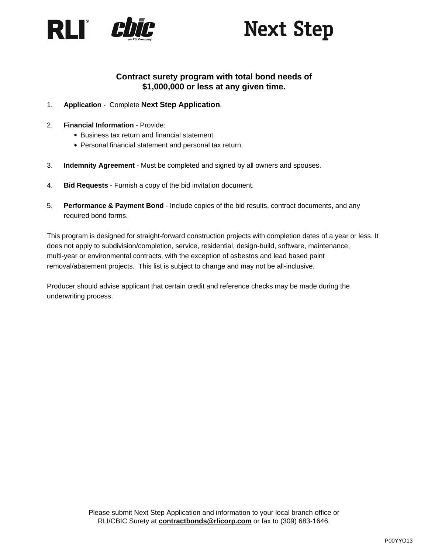

# **Next Step**

### **Contract surety program with total bond needs of \$1,000,000 or less at any given time.**

### 1. **Application** - Complete **Next Step Application**.

- 2. **Financial Information** Provide:
	- Business tax return and financial statement.
	- Personal financial statement and personal tax return.
- 3. **Indemnity Agreement** Must be completed and signed by all owners and spouses.
- 4. **Bid Requests** Furnish a copy of the bid invitation document.
- 5. **Performance & Payment Bond** Include copies of the bid results, contract documents, and any required bond forms.

This program is designed for straight-forward construction projects with completion dates of a year or less. It does not apply to subdivision/completion, service, residential, design-build, software, maintenance, multi-year or environmental contracts, with the exception of asbestos and lead based paint removal/abatement projects. This list is subject to change and may not be all-inclusive.

Producer should advise applicant that certain credit and reference checks may be made during the underwriting process.

P00YYO13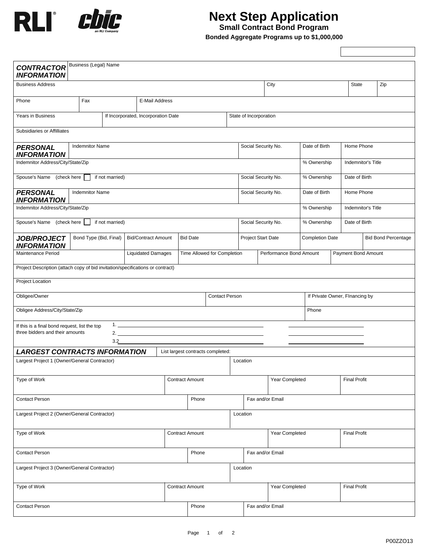

## **Next Step Application**

**Small Contract Bond Program**

**Bonded Aggregate Programs up to \$1,000,000**

 $\Gamma$ 

T.

| Business (Legal) Name<br>Zip<br>City<br>State<br>Fax<br>E-Mail Address<br>If Incorporated, Incorporation Date<br>State of Incorporation<br><b>Indemnitor Name</b><br>Social Security No.<br>Date of Birth<br>Home Phone<br><b>INFORMATION</b><br>Indemnitor Address/City/State/Zip<br>% Ownership<br>Indemnitor's Title<br>Spouse's Name (check here<br>if not married)<br>Social Security No.<br>% Ownership<br>Date of Birth<br><b>Indemnitor Name</b><br>Social Security No.<br>Date of Birth<br>Home Phone<br><b>INFORMATION</b><br>% Ownership<br>Indemnitor's Title<br>Spouse's Name (check here<br>if not married)<br>Social Security No.<br>Date of Birth<br>% Ownership<br>Bond Type (Bid, Final)<br><b>Bid/Contract Amount</b><br><b>Bid Date</b><br>Project Start Date<br><b>Completion Date</b><br><b>Bid Bond Percentage</b><br><b>Liquidated Damages</b><br>Time Allowed for Completion<br>Performance Bond Amount<br>Payment Bond Amount<br>Project Description (attach copy of bid invitation/specifications or contract)<br><b>Contact Person</b><br>If Private Owner, Flnancing by<br>Obligee Address/City/State/Zip<br>Phone<br>If this is a final bond request, list the top<br>three bidders and their amounts<br>3.2<br><b>LARGEST CONTRACTS INFORMATION</b><br>List largest contracts completed:<br>Largest Project 1 (Owner/General Contractor)<br>Location<br><b>Contract Amount</b><br>Year Completed<br><b>Final Profit</b><br>Fax and/or Email<br>Phone<br>Largest Project 2 (Owner/General Contractor)<br>Location<br>Type of Work<br><b>Contract Amount</b><br>Year Completed<br><b>Final Profit</b><br>Phone<br>Fax and/or Email<br>Largest Project 3 (Owner/General Contractor)<br>Location<br><b>Contract Amount</b><br>Year Completed<br><b>Final Profit</b><br>Phone<br>Fax and/or Email |                                          |  |  |  |  |  |  |  |  |  |  |  |  |  |
|-----------------------------------------------------------------------------------------------------------------------------------------------------------------------------------------------------------------------------------------------------------------------------------------------------------------------------------------------------------------------------------------------------------------------------------------------------------------------------------------------------------------------------------------------------------------------------------------------------------------------------------------------------------------------------------------------------------------------------------------------------------------------------------------------------------------------------------------------------------------------------------------------------------------------------------------------------------------------------------------------------------------------------------------------------------------------------------------------------------------------------------------------------------------------------------------------------------------------------------------------------------------------------------------------------------------------------------------------------------------------------------------------------------------------------------------------------------------------------------------------------------------------------------------------------------------------------------------------------------------------------------------------------------------------------------------------------------------------------------------------------------------------------------------------------------------------------|------------------------------------------|--|--|--|--|--|--|--|--|--|--|--|--|--|
|                                                                                                                                                                                                                                                                                                                                                                                                                                                                                                                                                                                                                                                                                                                                                                                                                                                                                                                                                                                                                                                                                                                                                                                                                                                                                                                                                                                                                                                                                                                                                                                                                                                                                                                                                                                                                             | <b>CONTRACTOR</b><br><b>INFORMATION</b>  |  |  |  |  |  |  |  |  |  |  |  |  |  |
|                                                                                                                                                                                                                                                                                                                                                                                                                                                                                                                                                                                                                                                                                                                                                                                                                                                                                                                                                                                                                                                                                                                                                                                                                                                                                                                                                                                                                                                                                                                                                                                                                                                                                                                                                                                                                             | <b>Business Address</b>                  |  |  |  |  |  |  |  |  |  |  |  |  |  |
|                                                                                                                                                                                                                                                                                                                                                                                                                                                                                                                                                                                                                                                                                                                                                                                                                                                                                                                                                                                                                                                                                                                                                                                                                                                                                                                                                                                                                                                                                                                                                                                                                                                                                                                                                                                                                             | Phone                                    |  |  |  |  |  |  |  |  |  |  |  |  |  |
|                                                                                                                                                                                                                                                                                                                                                                                                                                                                                                                                                                                                                                                                                                                                                                                                                                                                                                                                                                                                                                                                                                                                                                                                                                                                                                                                                                                                                                                                                                                                                                                                                                                                                                                                                                                                                             | Years in Business                        |  |  |  |  |  |  |  |  |  |  |  |  |  |
|                                                                                                                                                                                                                                                                                                                                                                                                                                                                                                                                                                                                                                                                                                                                                                                                                                                                                                                                                                                                                                                                                                                                                                                                                                                                                                                                                                                                                                                                                                                                                                                                                                                                                                                                                                                                                             | Subsidiaries or Affilliates              |  |  |  |  |  |  |  |  |  |  |  |  |  |
|                                                                                                                                                                                                                                                                                                                                                                                                                                                                                                                                                                                                                                                                                                                                                                                                                                                                                                                                                                                                                                                                                                                                                                                                                                                                                                                                                                                                                                                                                                                                                                                                                                                                                                                                                                                                                             | <b>PERSONAL</b>                          |  |  |  |  |  |  |  |  |  |  |  |  |  |
|                                                                                                                                                                                                                                                                                                                                                                                                                                                                                                                                                                                                                                                                                                                                                                                                                                                                                                                                                                                                                                                                                                                                                                                                                                                                                                                                                                                                                                                                                                                                                                                                                                                                                                                                                                                                                             |                                          |  |  |  |  |  |  |  |  |  |  |  |  |  |
|                                                                                                                                                                                                                                                                                                                                                                                                                                                                                                                                                                                                                                                                                                                                                                                                                                                                                                                                                                                                                                                                                                                                                                                                                                                                                                                                                                                                                                                                                                                                                                                                                                                                                                                                                                                                                             |                                          |  |  |  |  |  |  |  |  |  |  |  |  |  |
|                                                                                                                                                                                                                                                                                                                                                                                                                                                                                                                                                                                                                                                                                                                                                                                                                                                                                                                                                                                                                                                                                                                                                                                                                                                                                                                                                                                                                                                                                                                                                                                                                                                                                                                                                                                                                             | <b>PERSONAL</b>                          |  |  |  |  |  |  |  |  |  |  |  |  |  |
|                                                                                                                                                                                                                                                                                                                                                                                                                                                                                                                                                                                                                                                                                                                                                                                                                                                                                                                                                                                                                                                                                                                                                                                                                                                                                                                                                                                                                                                                                                                                                                                                                                                                                                                                                                                                                             | Indemnitor Address/City/State/Zip        |  |  |  |  |  |  |  |  |  |  |  |  |  |
|                                                                                                                                                                                                                                                                                                                                                                                                                                                                                                                                                                                                                                                                                                                                                                                                                                                                                                                                                                                                                                                                                                                                                                                                                                                                                                                                                                                                                                                                                                                                                                                                                                                                                                                                                                                                                             |                                          |  |  |  |  |  |  |  |  |  |  |  |  |  |
|                                                                                                                                                                                                                                                                                                                                                                                                                                                                                                                                                                                                                                                                                                                                                                                                                                                                                                                                                                                                                                                                                                                                                                                                                                                                                                                                                                                                                                                                                                                                                                                                                                                                                                                                                                                                                             | <b>JOB/PROJECT</b><br><b>INFORMATION</b> |  |  |  |  |  |  |  |  |  |  |  |  |  |
|                                                                                                                                                                                                                                                                                                                                                                                                                                                                                                                                                                                                                                                                                                                                                                                                                                                                                                                                                                                                                                                                                                                                                                                                                                                                                                                                                                                                                                                                                                                                                                                                                                                                                                                                                                                                                             | Maintenance Period                       |  |  |  |  |  |  |  |  |  |  |  |  |  |
|                                                                                                                                                                                                                                                                                                                                                                                                                                                                                                                                                                                                                                                                                                                                                                                                                                                                                                                                                                                                                                                                                                                                                                                                                                                                                                                                                                                                                                                                                                                                                                                                                                                                                                                                                                                                                             |                                          |  |  |  |  |  |  |  |  |  |  |  |  |  |
|                                                                                                                                                                                                                                                                                                                                                                                                                                                                                                                                                                                                                                                                                                                                                                                                                                                                                                                                                                                                                                                                                                                                                                                                                                                                                                                                                                                                                                                                                                                                                                                                                                                                                                                                                                                                                             | Project Location                         |  |  |  |  |  |  |  |  |  |  |  |  |  |
|                                                                                                                                                                                                                                                                                                                                                                                                                                                                                                                                                                                                                                                                                                                                                                                                                                                                                                                                                                                                                                                                                                                                                                                                                                                                                                                                                                                                                                                                                                                                                                                                                                                                                                                                                                                                                             | Obligee/Owner                            |  |  |  |  |  |  |  |  |  |  |  |  |  |
|                                                                                                                                                                                                                                                                                                                                                                                                                                                                                                                                                                                                                                                                                                                                                                                                                                                                                                                                                                                                                                                                                                                                                                                                                                                                                                                                                                                                                                                                                                                                                                                                                                                                                                                                                                                                                             |                                          |  |  |  |  |  |  |  |  |  |  |  |  |  |
|                                                                                                                                                                                                                                                                                                                                                                                                                                                                                                                                                                                                                                                                                                                                                                                                                                                                                                                                                                                                                                                                                                                                                                                                                                                                                                                                                                                                                                                                                                                                                                                                                                                                                                                                                                                                                             |                                          |  |  |  |  |  |  |  |  |  |  |  |  |  |
|                                                                                                                                                                                                                                                                                                                                                                                                                                                                                                                                                                                                                                                                                                                                                                                                                                                                                                                                                                                                                                                                                                                                                                                                                                                                                                                                                                                                                                                                                                                                                                                                                                                                                                                                                                                                                             |                                          |  |  |  |  |  |  |  |  |  |  |  |  |  |
|                                                                                                                                                                                                                                                                                                                                                                                                                                                                                                                                                                                                                                                                                                                                                                                                                                                                                                                                                                                                                                                                                                                                                                                                                                                                                                                                                                                                                                                                                                                                                                                                                                                                                                                                                                                                                             |                                          |  |  |  |  |  |  |  |  |  |  |  |  |  |
|                                                                                                                                                                                                                                                                                                                                                                                                                                                                                                                                                                                                                                                                                                                                                                                                                                                                                                                                                                                                                                                                                                                                                                                                                                                                                                                                                                                                                                                                                                                                                                                                                                                                                                                                                                                                                             |                                          |  |  |  |  |  |  |  |  |  |  |  |  |  |
|                                                                                                                                                                                                                                                                                                                                                                                                                                                                                                                                                                                                                                                                                                                                                                                                                                                                                                                                                                                                                                                                                                                                                                                                                                                                                                                                                                                                                                                                                                                                                                                                                                                                                                                                                                                                                             | Type of Work                             |  |  |  |  |  |  |  |  |  |  |  |  |  |
|                                                                                                                                                                                                                                                                                                                                                                                                                                                                                                                                                                                                                                                                                                                                                                                                                                                                                                                                                                                                                                                                                                                                                                                                                                                                                                                                                                                                                                                                                                                                                                                                                                                                                                                                                                                                                             | <b>Contact Person</b>                    |  |  |  |  |  |  |  |  |  |  |  |  |  |
|                                                                                                                                                                                                                                                                                                                                                                                                                                                                                                                                                                                                                                                                                                                                                                                                                                                                                                                                                                                                                                                                                                                                                                                                                                                                                                                                                                                                                                                                                                                                                                                                                                                                                                                                                                                                                             |                                          |  |  |  |  |  |  |  |  |  |  |  |  |  |
|                                                                                                                                                                                                                                                                                                                                                                                                                                                                                                                                                                                                                                                                                                                                                                                                                                                                                                                                                                                                                                                                                                                                                                                                                                                                                                                                                                                                                                                                                                                                                                                                                                                                                                                                                                                                                             |                                          |  |  |  |  |  |  |  |  |  |  |  |  |  |
|                                                                                                                                                                                                                                                                                                                                                                                                                                                                                                                                                                                                                                                                                                                                                                                                                                                                                                                                                                                                                                                                                                                                                                                                                                                                                                                                                                                                                                                                                                                                                                                                                                                                                                                                                                                                                             |                                          |  |  |  |  |  |  |  |  |  |  |  |  |  |
|                                                                                                                                                                                                                                                                                                                                                                                                                                                                                                                                                                                                                                                                                                                                                                                                                                                                                                                                                                                                                                                                                                                                                                                                                                                                                                                                                                                                                                                                                                                                                                                                                                                                                                                                                                                                                             | <b>Contact Person</b>                    |  |  |  |  |  |  |  |  |  |  |  |  |  |
|                                                                                                                                                                                                                                                                                                                                                                                                                                                                                                                                                                                                                                                                                                                                                                                                                                                                                                                                                                                                                                                                                                                                                                                                                                                                                                                                                                                                                                                                                                                                                                                                                                                                                                                                                                                                                             |                                          |  |  |  |  |  |  |  |  |  |  |  |  |  |
|                                                                                                                                                                                                                                                                                                                                                                                                                                                                                                                                                                                                                                                                                                                                                                                                                                                                                                                                                                                                                                                                                                                                                                                                                                                                                                                                                                                                                                                                                                                                                                                                                                                                                                                                                                                                                             | Type of Work                             |  |  |  |  |  |  |  |  |  |  |  |  |  |
|                                                                                                                                                                                                                                                                                                                                                                                                                                                                                                                                                                                                                                                                                                                                                                                                                                                                                                                                                                                                                                                                                                                                                                                                                                                                                                                                                                                                                                                                                                                                                                                                                                                                                                                                                                                                                             | <b>Contact Person</b>                    |  |  |  |  |  |  |  |  |  |  |  |  |  |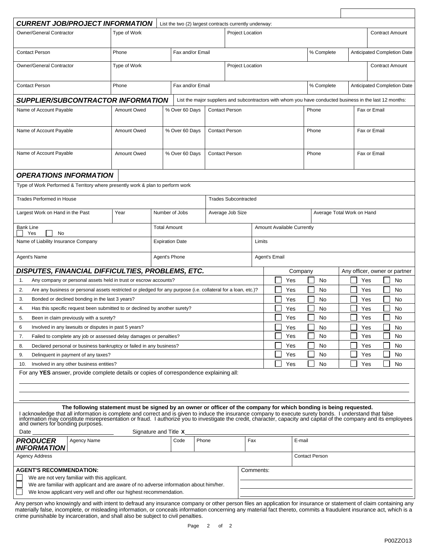| <b>CURRENT JOB/PROJECT INFORMATION</b><br>Owner/General Contractor<br><b>Contact Person</b><br>Owner/General Contractor<br><b>Contact Person</b><br><b>SUPPLIER/SUBCONTRACTOR INFORMATION</b><br>Name of Account Payable               | Type of Work<br>Phone<br>Type of Work | List the two (2) largest contracts currently underway:<br>Fax and/or Email |                       | <b>Project Location</b>     |                                   |            |                                                                                                          |                               |                        | <b>Contract Amount</b>      |  |  |
|----------------------------------------------------------------------------------------------------------------------------------------------------------------------------------------------------------------------------------------|---------------------------------------|----------------------------------------------------------------------------|-----------------------|-----------------------------|-----------------------------------|------------|----------------------------------------------------------------------------------------------------------|-------------------------------|------------------------|-----------------------------|--|--|
|                                                                                                                                                                                                                                        |                                       |                                                                            |                       |                             |                                   |            |                                                                                                          |                               |                        |                             |  |  |
|                                                                                                                                                                                                                                        |                                       |                                                                            |                       |                             |                                   |            |                                                                                                          |                               |                        |                             |  |  |
|                                                                                                                                                                                                                                        |                                       |                                                                            |                       |                             |                                   |            | % Complete                                                                                               |                               |                        | Anticipated Completion Date |  |  |
|                                                                                                                                                                                                                                        |                                       |                                                                            |                       |                             | Project Location                  |            |                                                                                                          |                               | <b>Contract Amount</b> |                             |  |  |
|                                                                                                                                                                                                                                        | Fax and/or Email<br>Phone             |                                                                            |                       |                             |                                   |            | % Complete                                                                                               | Anticipated Completion Date   |                        |                             |  |  |
|                                                                                                                                                                                                                                        |                                       |                                                                            |                       |                             |                                   |            | List the major suppliers and subcontractors with whom you have conducted business in the last 12 months: |                               |                        |                             |  |  |
|                                                                                                                                                                                                                                        | Amount Owed                           | % Over 60 Days                                                             | <b>Contact Person</b> |                             |                                   |            | Phone                                                                                                    |                               | Fax or Email           |                             |  |  |
|                                                                                                                                                                                                                                        |                                       |                                                                            |                       |                             |                                   |            |                                                                                                          |                               |                        |                             |  |  |
| Name of Account Payable<br>Amount Owed                                                                                                                                                                                                 |                                       | % Over 60 Days                                                             |                       | <b>Contact Person</b>       |                                   |            | Phone                                                                                                    |                               | Fax or Email           |                             |  |  |
|                                                                                                                                                                                                                                        |                                       |                                                                            |                       |                             |                                   |            |                                                                                                          |                               |                        |                             |  |  |
| Name of Account Payable                                                                                                                                                                                                                | Amount Owed                           | % Over 60 Days                                                             | <b>Contact Person</b> |                             |                                   |            | Phone                                                                                                    |                               | Fax or Email           |                             |  |  |
|                                                                                                                                                                                                                                        |                                       |                                                                            |                       |                             |                                   |            |                                                                                                          |                               |                        |                             |  |  |
|                                                                                                                                                                                                                                        |                                       |                                                                            |                       |                             |                                   |            |                                                                                                          |                               |                        |                             |  |  |
| <b>OPERATIONS INFORMATION</b>                                                                                                                                                                                                          |                                       |                                                                            |                       |                             |                                   |            |                                                                                                          |                               |                        |                             |  |  |
| Type of Work Performed & Territory where presently work & plan to perform work                                                                                                                                                         |                                       |                                                                            |                       |                             |                                   |            |                                                                                                          |                               |                        |                             |  |  |
| <b>Trades Performed in House</b>                                                                                                                                                                                                       |                                       |                                                                            |                       | <b>Trades Subcontracted</b> |                                   |            |                                                                                                          |                               |                        |                             |  |  |
| Largest Work on Hand in the Past                                                                                                                                                                                                       | Year                                  | Number of Jobs                                                             | Average Job Size      |                             |                                   |            | Average Total Work on Hand                                                                               |                               |                        |                             |  |  |
|                                                                                                                                                                                                                                        |                                       |                                                                            |                       |                             |                                   |            |                                                                                                          |                               |                        |                             |  |  |
| Bank Line<br>No<br>Yes                                                                                                                                                                                                                 |                                       | <b>Total Amount</b>                                                        |                       |                             | <b>Amount Available Currently</b> |            |                                                                                                          |                               |                        |                             |  |  |
| Name of Liability Insurance Company<br><b>Expiration Date</b>                                                                                                                                                                          |                                       |                                                                            |                       | Limits                      |                                   |            |                                                                                                          |                               |                        |                             |  |  |
| Agent's Name                                                                                                                                                                                                                           |                                       | Agent's Phone                                                              |                       |                             | Agent's Email                     |            |                                                                                                          |                               |                        |                             |  |  |
|                                                                                                                                                                                                                                        |                                       |                                                                            |                       |                             |                                   |            |                                                                                                          |                               |                        |                             |  |  |
| DISPUTES, FINANCIAL DIFFICULTIES, PROBLEMS, ETC.                                                                                                                                                                                       |                                       |                                                                            |                       |                             | L.                                |            | Company                                                                                                  | Any officer, owner or partner | Yes                    |                             |  |  |
| Any company or personal assets held in trust or escrow accounts?<br>1.<br>Are any business or personal assets restricted or pledged for any purpose (i.e. collateral for a loan, etc.)?<br>2.                                          |                                       |                                                                            |                       |                             |                                   | Yes        | No                                                                                                       |                               |                        | No                          |  |  |
| 3.<br>Bonded or declined bonding in the last 3 years?                                                                                                                                                                                  |                                       |                                                                            |                       |                             |                                   | Yes<br>Yes | No<br>No                                                                                                 |                               | Yes<br>Yes             | No<br>No                    |  |  |
| Has this specific request been submitted to or declined by another surety?<br>4.                                                                                                                                                       |                                       |                                                                            |                       |                             |                                   | Yes        | No                                                                                                       |                               | Yes                    | No                          |  |  |
| Been in claim previously with a surety?<br>5.                                                                                                                                                                                          |                                       |                                                                            |                       |                             |                                   | Yes        | No                                                                                                       |                               | Yes                    | No                          |  |  |
| Involved in any lawsuits or disputes in past 5 years?<br>6                                                                                                                                                                             |                                       |                                                                            |                       |                             |                                   | Yes        | No.                                                                                                      | ┌─                            | Yes                    | No.                         |  |  |
| Failed to complete any job or assessed delay damages or penalties?<br>7.                                                                                                                                                               |                                       |                                                                            |                       |                             |                                   | Yes        | No                                                                                                       |                               | Yes                    | No                          |  |  |
| 8.<br>Declared personal or business bankruptcy or failed in any business?                                                                                                                                                              |                                       |                                                                            |                       |                             |                                   | Yes        | No                                                                                                       |                               | Yes                    | No                          |  |  |
| 9.<br>Delinquent in payment of any taxes?                                                                                                                                                                                              |                                       |                                                                            |                       |                             |                                   | Yes        | No                                                                                                       |                               | Yes                    | No                          |  |  |
| Involved in any other business entities?<br>10.                                                                                                                                                                                        |                                       |                                                                            |                       |                             |                                   | Yes        | No                                                                                                       |                               | Yes                    | No                          |  |  |
| For any YES answer, provide complete details or copies of correspondence explaining all:                                                                                                                                               |                                       |                                                                            |                       |                             |                                   |            |                                                                                                          |                               |                        |                             |  |  |
|                                                                                                                                                                                                                                        |                                       |                                                                            |                       |                             |                                   |            |                                                                                                          |                               |                        |                             |  |  |
|                                                                                                                                                                                                                                        |                                       |                                                                            |                       |                             |                                   |            |                                                                                                          |                               |                        |                             |  |  |
| The following statement must be signed by an owner or officer of the company for which bonding is being requested.                                                                                                                     |                                       |                                                                            |                       |                             |                                   |            |                                                                                                          |                               |                        |                             |  |  |
| I acknowledge that all information is complete and correct and is given to induce the insurance company to execute surety bonds. I understand that false information may constitute misrepresentation or fraud. I authorize yo         |                                       |                                                                            |                       |                             |                                   |            |                                                                                                          |                               |                        |                             |  |  |
| and owners for bonding purposes.                                                                                                                                                                                                       |                                       |                                                                            |                       |                             |                                   |            |                                                                                                          |                               |                        |                             |  |  |
| Date                                                                                                                                                                                                                                   |                                       | Signature and Title X                                                      |                       |                             |                                   |            |                                                                                                          |                               |                        |                             |  |  |
| <b>PRODUCER</b><br>Agency Name<br>Phone<br>Code<br>INFORMATION                                                                                                                                                                         |                                       |                                                                            |                       | Fax                         |                                   |            |                                                                                                          | E-mail                        |                        |                             |  |  |
| <b>Agency Address</b>                                                                                                                                                                                                                  |                                       |                                                                            |                       |                             |                                   |            | <b>Contact Person</b>                                                                                    |                               |                        |                             |  |  |
| <b>AGENT'S RECOMMENDATION:</b>                                                                                                                                                                                                         |                                       |                                                                            |                       | Comments:                   |                                   |            |                                                                                                          |                               |                        |                             |  |  |
| We are not very familiar with this applicant.                                                                                                                                                                                          |                                       |                                                                            |                       |                             |                                   |            |                                                                                                          |                               |                        |                             |  |  |
| We are familiar with applicant and are aware of no adverse information about him/her.                                                                                                                                                  |                                       |                                                                            |                       |                             |                                   |            |                                                                                                          |                               |                        |                             |  |  |
| We know applicant very well and offer our highest recommendation.<br>Any person who knowingly and with intent to defraud any insurance company or other person files an application for insurance or statement of claim containing any |                                       |                                                                            |                       |                             |                                   |            |                                                                                                          |                               |                        |                             |  |  |

materially false, incomplete, or misleading information, or conceals information concerning any material fact thereto, commits a fraudulent insurance act, which is a crime punishable by incarceration, and shall also be subject to civil penalties.

 $\Gamma$ 

٦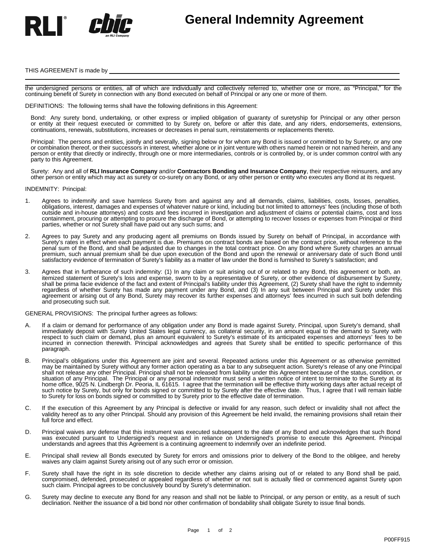

# **General Indemnity Agreement**

#### THIS AGREEMENT is made by

the undersigned persons or entities, all of which are individually and collectively referred to, whether one or more, as "Principal," for the continuing benefit of Surety in connection with any Bond executed on behalf of Principal or any one or more of them.

DEFINITIONS: The following terms shall have the following definitions in this Agreement:

Bond: Any surety bond, undertaking, or other express or implied obligation of guaranty of suretyship for Principal or any other person or entity at their request executed or committed to by Surety on, before or after this date, and any riders, endorsements, extensions, continuations, renewals, substitutions, increases or decreases in penal sum, reinstatements or replacements thereto.

Principal: The persons and entities, jointly and severally, signing below or for whom any Bond is issued or committed to by Surety, or any one or combination thereof, or their successors in interest, whether alone or in joint venture with others named herein or not named herein, and any person or entity that directly or indirectly, through one or more intermediaries, controls or is controlled by, or is under common control with any party to this Agreement.

Surety: Any and all of **RLI Insurance Company** and/or **Contractors Bonding and Insurance Company**, their respective reinsurers, and any other person or entity which may act as surety or co-surety on any Bond, or any other person or entity who executes any Bond at its request.

#### INDEMNITY: Principal:

- 1. Agrees to indemnify and save harmless Surety from and against any and all demands, claims, liabilities, costs, losses, penalties, obligations, interest, damages and expenses of whatever nature or kind, including but not limited to attorneys' fees (including those of both outside and in-house attorneys) and costs and fees incurred in investigation and adjustment of claims or potential claims, cost and loss containment, procuring or attempting to procure the discharge of Bond, or attempting to recover losses or expenses from Principal or third parties, whether or not Surety shall have paid out any such sums; and
- 2. Agrees to pay Surety and any producing agent all premiums on Bonds issued by Surety on behalf of Principal, in accordance with Surety's rates in effect when each payment is due. Premiums on contract bonds are based on the contract price, without reference to the penal sum of the Bond, and shall be adjusted due to changes in the total contract price. On any Bond where Surety charges an annual premium, such annual premium shall be due upon execution of the Bond and upon the renewal or anniversary date of such Bond until satisfactory evidence of termination of Surety's liability as a matter of law under the Bond is furnished to Surety's satisfaction; and
- 3. Agrees that in furtherance of such indemnity: (1) In any claim or suit arising out of or related to any Bond, this agreement or both, an itemized statement of Surety's loss and expense, sworn to by a representative of Surety, or other evidence of disbursement by Surety, shall be prima facie evidence of the fact and extent of Principal's liability under this Agreement, (2) Surety shall have the right to indemnity regardless of whether Surety has made any payment under any Bond, and (3) In any suit between Principal and Surety under this agreement or arising out of any Bond, Surety may recover its further expenses and attorneys' fees incurred in such suit both defending and prosecuting such suit.

GENERAL PROVISIONS: The principal further agrees as follows:

- A. If a claim or demand for performance of any obligation under any Bond is made against Surety, Principal, upon Surety's demand, shall immediately deposit with Surety United States legal currency, as collateral security, in an amount equal to the demand to Surety with respect to such claim or demand, plus an amount equivalent to Surety's estimate of its anticipated expenses and attorneys' fees to be incurred in connection therewith. Principal acknowledges and agrees that Surety shall be entitled to specific performance of this paragraph.
- B. Principal's obligations under this Agreement are joint and several. Repeated actions under this Agreement or as otherwise permitted may be maintained by Surety without any former action operating as a bar to any subsequent action. Surety's release of any one Principal shall not release any other Principal. Principal shall not be released from liability under this Agreement because of the status, condition, or situation of any Principal. The Principal or any personal indemnitor must send a written notice of intent to terminate to the Surety at its home office, 9025 N. Lindbergh Dr. Peoria, IL 61615. I agree that the termination will be effective thirty working days after actual receipt of such notice by Surety, but only for bonds signed or committed to by Surety after the effective date. Thus, I agree that I will remain liable to Surety for loss on bonds signed or committed to by Surety prior to the effective date of termination.
- C. If the execution of this Agreement by any Principal is defective or invalid for any reason, such defect or invalidity shall not affect the validity hereof as to any other Principal. Should any provision of this Agreement be held invalid, the remaining provisions shall retain their full force and effect.
- D. Principal waives any defense that this instrument was executed subsequent to the date of any Bond and acknowledges that such Bond was executed pursuant to Undersigned's request and in reliance on Undersigned's promise to execute this Agreement. Principal understands and agrees that this Agreement is a continuing agreement to indemnify over an indefinite period.
- E. Principal shall review all Bonds executed by Surety for errors and omissions prior to delivery of the Bond to the obligee, and hereby waives any claim against Surety arising out of any such error or omission.
- F. Surety shall have the right in its sole discretion to decide whether any claims arising out of or related to any Bond shall be paid, compromised, defended, prosecuted or appealed regardless of whether or not suit is actually filed or commenced against Surety upon such claim. Principal agrees to be conclusively bound by Surety's determination.
- G. Surety may decline to execute any Bond for any reason and shall not be liable to Principal, or any person or entity, as a result of such declination. Neither the issuance of a bid bond nor other confirmation of bondability shall obligate Surety to issue final bonds. f whether<br>
"s determ<br>
hall not b<br>
hation of b<br>
1 of 2